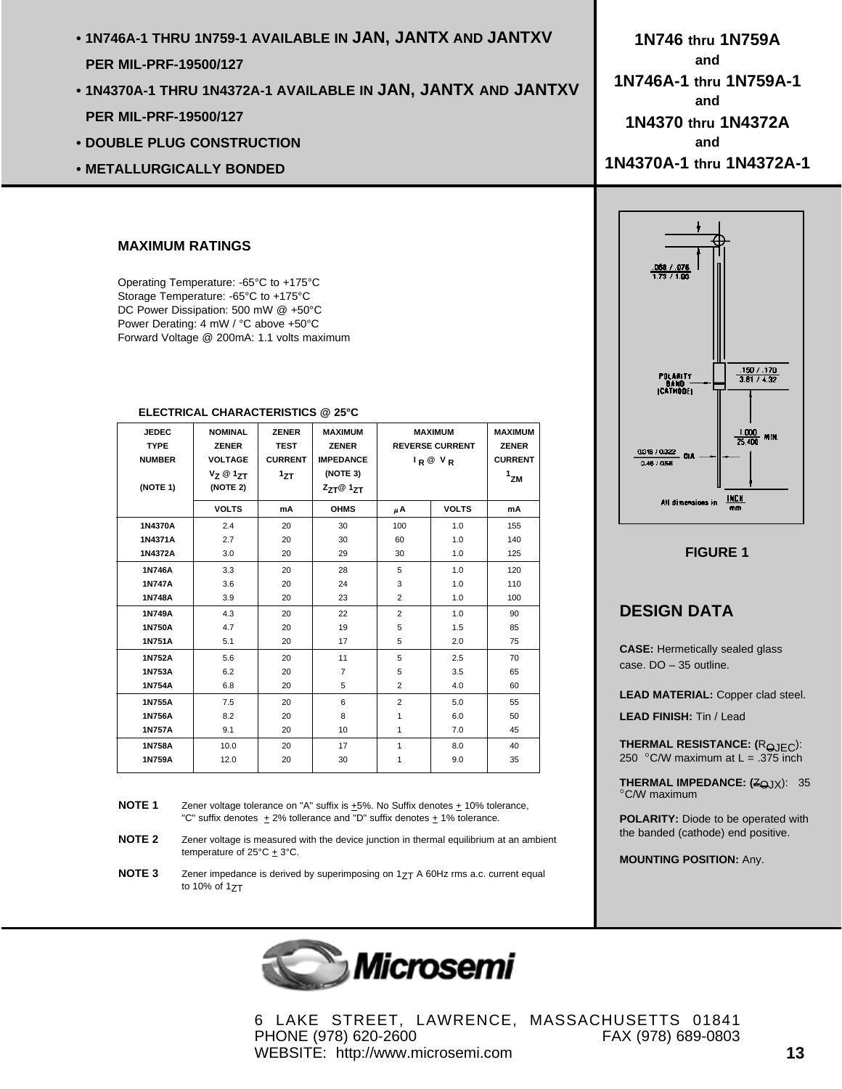- **1N746A-1 THRU 1N759-1 AVAILABLE IN JAN, JANTX AND JANTXV PER MIL-PRF-19500/127**
- **1N4370A-1 THRU 1N4372A-1 AVAILABLE IN JAN, JANTX AND JANTXV PER MIL-PRF-19500/127**
- **DOUBLE PLUG CONSTRUCTION**
- **METALLURGICALLY BONDED**

## **MAXIMUM RATINGS**

Operating Temperature: -65°C to +175°C Storage Temperature: -65°C to +175°C DC Power Dissipation: 500 mW @ +50°C Power Derating: 4 mW / °C above +50°C Forward Voltage @ 200mA: 1.1 volts maximum

| <b>JEDEC</b><br><b>TYPE</b><br><b>NUMBER</b><br>(NOTE 1) | <b>NOMINAL</b><br><b>ZENER</b><br><b>VOLTAGE</b><br>$V_7 @ 1_{7T}$<br>(NOTE 2) | <b>ZENER</b><br><b>TEST</b><br><b>CURRENT</b><br>1ZT | <b>MAXIMUM</b><br><b>ZENER</b><br><b>IMPEDANCE</b><br>(NOTE 3)<br>$Z_{7T}$ @ 1 $_{7T}$ | <b>MAXIMUM</b><br><b>REVERSE CURRENT</b><br>$I_R @ V_R$ |              | <b>MAXIMUM</b><br><b>ZENER</b><br><b>CURRENT</b><br>$1$ ZM |
|----------------------------------------------------------|--------------------------------------------------------------------------------|------------------------------------------------------|----------------------------------------------------------------------------------------|---------------------------------------------------------|--------------|------------------------------------------------------------|
|                                                          | <b>VOLTS</b>                                                                   | mA                                                   | <b>OHMS</b>                                                                            | μA                                                      | <b>VOLTS</b> | mA                                                         |
| 1N4370A                                                  | 2.4                                                                            | 20                                                   | 30                                                                                     | 100                                                     | 1.0          | 155                                                        |
| 1N4371A                                                  | 2.7                                                                            | 20                                                   | 30                                                                                     | 60                                                      | 1.0          | 140                                                        |
| 1N4372A                                                  | 3.0                                                                            | 20                                                   | 29                                                                                     | 30                                                      | 1.0          | 125                                                        |
| 1N746A                                                   | 3.3                                                                            | 20                                                   | 28                                                                                     | 5                                                       | 1.0          | 120                                                        |
| 1N747A                                                   | 3.6                                                                            | 20                                                   | 24                                                                                     | 3                                                       | 1.0          | 110                                                        |
| 1N748A                                                   | 3.9                                                                            | 20                                                   | 23                                                                                     | $\overline{2}$                                          | 1.0          | 100                                                        |
| 1N749A                                                   | 4.3                                                                            | 20                                                   | 22                                                                                     | $\overline{2}$                                          | 1.0          | 90                                                         |
| 1N750A                                                   | 4.7                                                                            | 20                                                   | 19                                                                                     | 5                                                       | 1.5          | 85                                                         |
| 1N751A                                                   | 5.1                                                                            | 20                                                   | 17                                                                                     | 5                                                       | 2.0          | 75                                                         |
| 1N752A                                                   | 5.6                                                                            | 20                                                   | 11                                                                                     | 5                                                       | 2.5          | 70                                                         |
| 1N753A                                                   | 6.2                                                                            | 20                                                   | $\overline{7}$                                                                         | 5                                                       | 3.5          | 65                                                         |
| 1N754A                                                   | 6.8                                                                            | 20                                                   | 5                                                                                      | $\overline{2}$                                          | 4.0          | 60                                                         |
| 1N755A                                                   | 7.5                                                                            | 20                                                   | 6                                                                                      | $\overline{2}$                                          | 5.0          | 55                                                         |
| 1N756A                                                   | 8.2                                                                            | 20                                                   | 8                                                                                      | 1                                                       | 6.0          | 50                                                         |
| 1N757A                                                   | 9.1                                                                            | 20                                                   | 10                                                                                     | 1                                                       | 7.0          | 45                                                         |
| 1N758A                                                   | 10.0                                                                           | 20                                                   | 17                                                                                     | 1                                                       | 8.0          | 40                                                         |
| 1N759A                                                   | 12.0                                                                           | 20                                                   | 30                                                                                     | 1                                                       | 9.0          | 35                                                         |

## **ELECTRICAL CHARACTERISTICS @ 25°C**

**NOTE 1** Zener voltage tolerance on "A" suffix is  $\pm$ 5%. No Suffix denotes  $\pm$  10% tolerance, "C" suffix denotes  $\pm 2\%$  tollerance and "D" suffix denotes  $\pm 1\%$  tolerance.

- **NOTE 2** Zener voltage is measured with the device junction in thermal equilibrium at an ambient temperature of  $25^{\circ}C \pm 3^{\circ}C$ .
- **NOTE 3** Zener impedance is derived by superimposing on 1<sub>7T</sub> A 60Hz rms a.c. current equal to 10% of  $17T$



6 LAKE STREET, LAWRENCE, MASSACHUSETTS 01841 PHONE (978) 620-2600 FAX (978) 689-0803 WEBSITE: http://www.microsemi.com **13**

**1N746 thru 1N759A and 1N746A-1 thru 1N759A-1 and 1N4370 thru 1N4372A and 1N4370A-1 thru 1N4372A-1**



**FIGURE 1**

## **DESIGN DATA**

**CASE:** Hermetically sealed glass case. DO – 35 outline.

**LEAD MATERIAL:** Copper clad steel.

**LEAD FINISH:** Tin / Lead

**THERMAL RESISTANCE: (ROJEC):** 250 °C/W maximum at  $L = .375$  inch

**THERMAL IMPEDANCE: (ZOJX): 35** °C/W maximum

**POLARITY:** Diode to be operated with the banded (cathode) end positive.

**MOUNTING POSITION:** Any.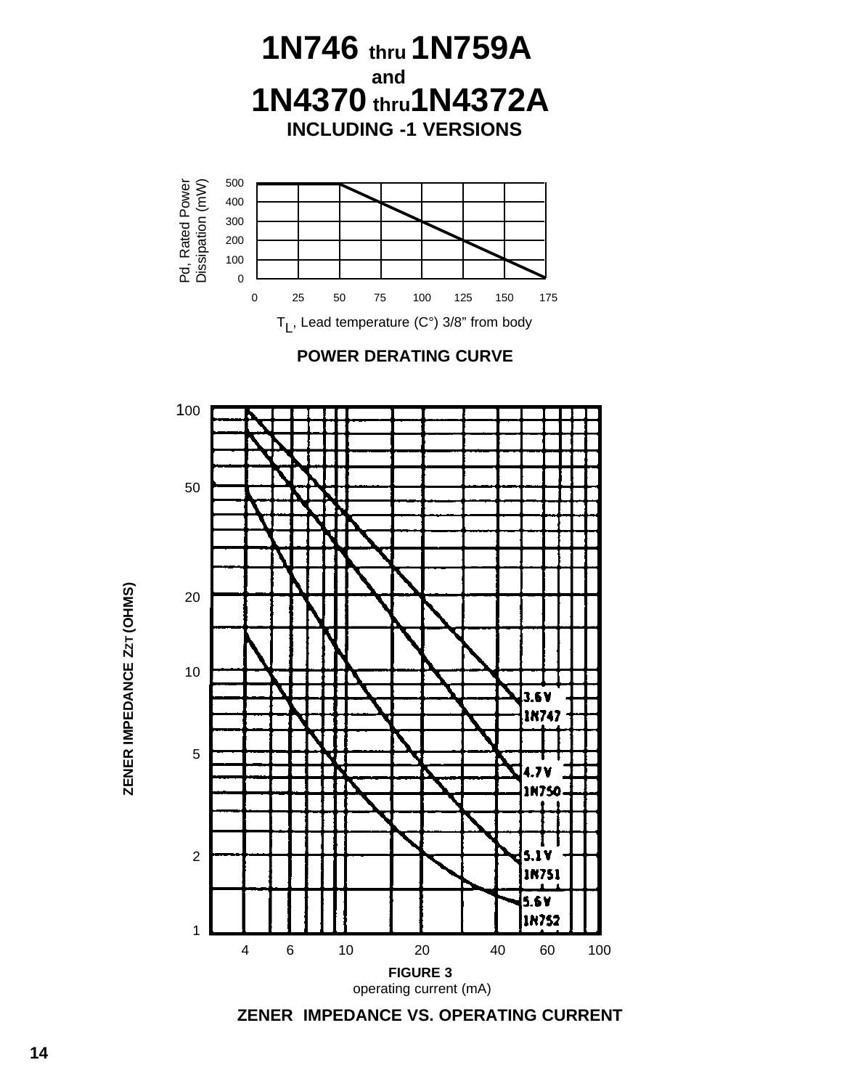

ZENER IMPEDANCE ZZT (OHMS) **ZENER IMPEDANCE ZZT (OHMS)**